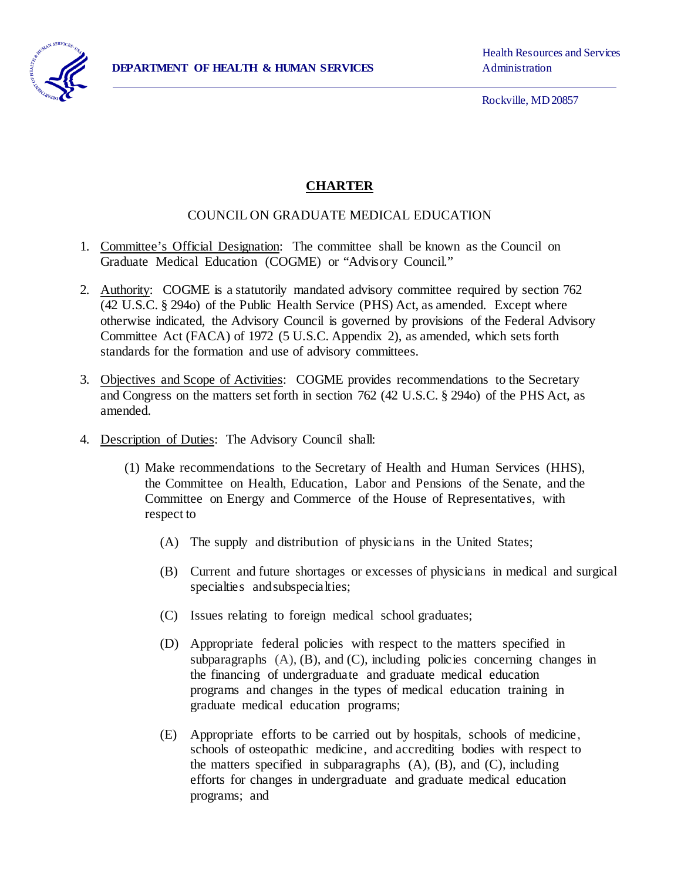

Rockville, MD 20857

## **CHARTER**

## COUNCIL ON GRADUATE MEDICAL EDUCATION

- 1. Committee's Official Designation: The committee shall be known as the Council on Graduate Medical Education (COGME) or "Advisory Council."
- 2. Authority: COGME is a statutorily mandated advisory committee required by section 762 (42 U.S.C. § 294o) of the Public Health Service (PHS) Act, as amended. Except where otherwise indicated, the Advisory Council is governed by provisions of the Federal Advisory Committee Act (FACA) of 1972 (5 U.S.C. Appendix 2), as amended, which sets forth standards for the formation and use of advisory committees.
- 3. Objectives and Scope of Activities: COGME provides recommendations to the Secretary and Congress on the matters set forth in section 762 (42 U.S.C. § 294o) of the PHS Act, as amended.
- 4. Description of Duties: The Advisory Council shall:
	- (1) Make recommendations to the Secretary of Health and Human Services (HHS), the Committee on Health, Education, Labor and Pensions of the Senate, and the Committee on Energy and Commerce of the House of Representatives, with respect to
		- (A) The supply and distribution of physicians in the United States;
		- (B) Current and future shortages or excesses of physicians in medical and surgical specialties andsubspecialties;
		- (C) Issues relating to foreign medical school graduates;
		- (D) Appropriate federal policies with respect to the matters specified in subparagraphs  $(A)$ ,  $(B)$ , and  $(C)$ , including policies concerning changes in the financing of undergraduate and graduate medical education programs and changes in the types of medical education training in graduate medical education programs;
		- (E) Appropriate efforts to be carried out by hospitals, schools of medicine, schools of osteopathic medicine, and accrediting bodies with respect to the matters specified in subparagraphs  $(A)$ ,  $(B)$ , and  $(C)$ , including efforts for changes in undergraduate and graduate medical education programs; and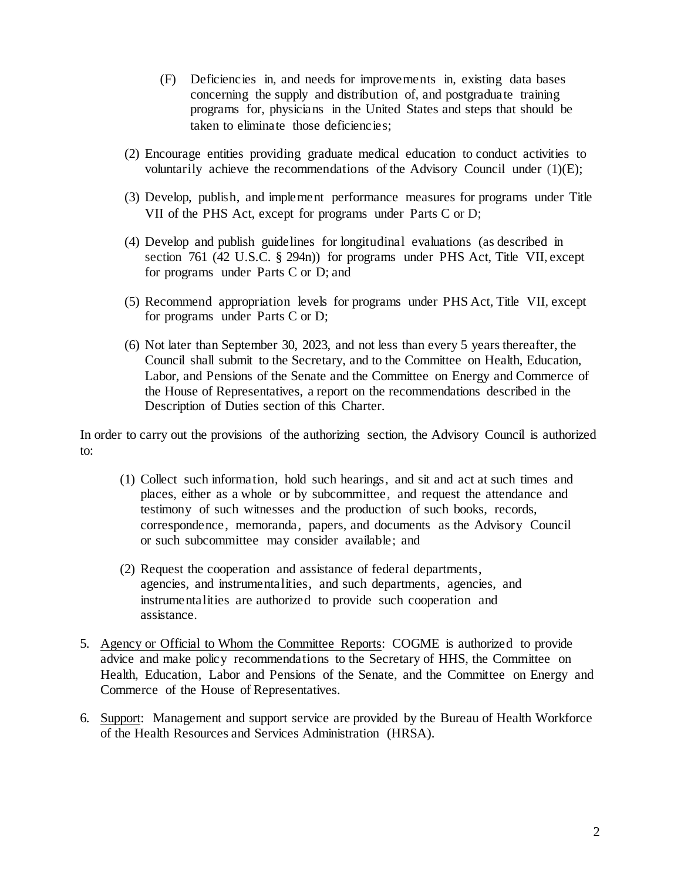- (F) Deficiencies in, and needs for improvements in, existing data bases concerning the supply and distribution of, and postgraduate training programs for, physicians in the United States and steps that should be taken to eliminate those deficiencies;
- (2) Encourage entities providing graduate medical education to conduct activities to voluntarily achieve the recommendations of the Advisory Council under  $(1)(E)$ ;
- (3) Develop, publish, and implement performance measures for programs under Title VII of the PHS Act, except for programs under Parts C or D;
- (4) Develop and publish guidelines for longitudinal evaluations (as described in section 761 (42 U.S.C. § 294n)) for programs under PHS Act, Title VII, except for programs under Parts C or D; and
- (5) Recommend appropriation levels for programs under PHS Act, Title VII, except for programs under Parts C or D;
- (6) Not later than September 30, 2023, and not less than every 5 years thereafter, the Council shall submit to the Secretary, and to the Committee on Health, Education, Labor, and Pensions of the Senate and the Committee on Energy and Commerce of the House of Representatives, a report on the recommendations described in the Description of Duties section of this Charter.

In order to carry out the provisions of the authorizing section, the Advisory Council is authorized to:

- (1) Collect such information, hold such hearings, and sit and act at such times and places, either as a whole or by subcommittee, and request the attendance and testimony of such witnesses and the production of such books, records, correspondence, memoranda, papers, and documents as the Advisory Council or such subcommittee may consider available; and
- (2) Request the cooperation and assistance of federal departments, agencies, and instrumentalities, and such departments, agencies, and instrumentalities are authorized to provide such cooperation and assistance.
- 5. Agency or Official to Whom the Committee Reports: COGME is authorized to provide advice and make policy recommendations to the Secretary of HHS, the Committee on Health, Education, Labor and Pensions of the Senate, and the Committee on Energy and Commerce of the House of Representatives.
- 6. Support: Management and support service are provided by the Bureau of Health Workforce of the Health Resources and Services Administration (HRSA).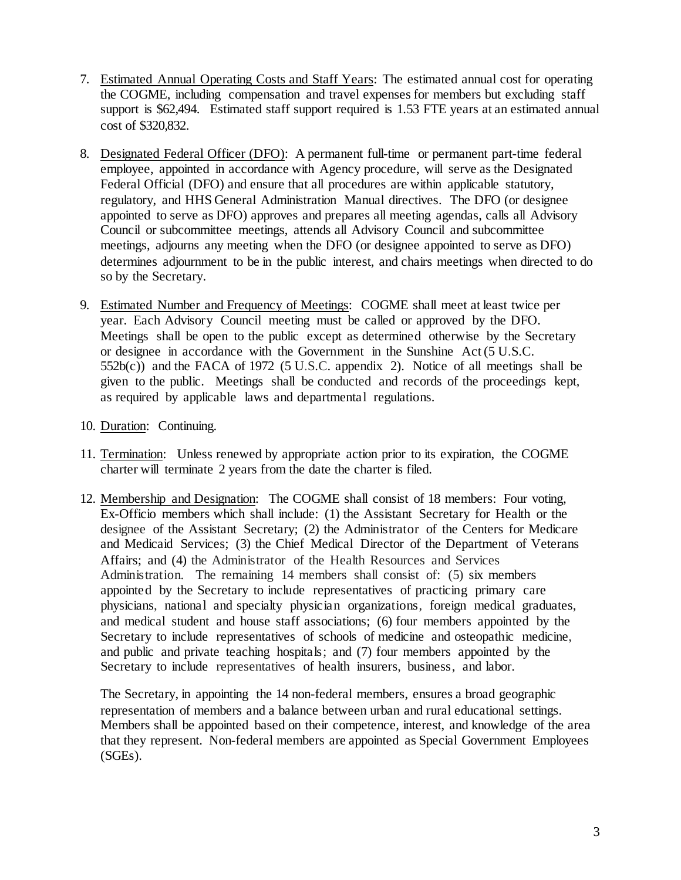- 7. Estimated Annual Operating Costs and Staff Years: The estimated annual cost for operating the COGME, including compensation and travel expenses for members but excluding staff support is \$62,494. Estimated staff support required is 1.53 FTE years at an estimated annual cost of \$320,832.
- 8. Designated Federal Officer (DFO): A permanent full-time or permanent part-time federal employee, appointed in accordance with Agency procedure, will serve as the Designated Federal Official (DFO) and ensure that all procedures are within applicable statutory, regulatory, and HHS General Administration Manual directives. The DFO (or designee appointed to serve as DFO) approves and prepares all meeting agendas, calls all Advisory Council or subcommittee meetings, attends all Advisory Council and subcommittee meetings, adjourns any meeting when the DFO (or designee appointed to serve as DFO) determines adjournment to be in the public interest, and chairs meetings when directed to do so by the Secretary.
- 9. Estimated Number and Frequency of Meetings: COGME shall meet at least twice per year. Each Advisory Council meeting must be called or approved by the DFO. Meetings shall be open to the public except as determined otherwise by the Secretary or designee in accordance with the Government in the Sunshine Act (5 U.S.C.  $552b(c)$ ) and the FACA of 1972 (5 U.S.C. appendix 2). Notice of all meetings shall be given to the public. Meetings shall be conducted and records of the proceedings kept, as required by applicable laws and departmental regulations.
- 10. Duration: Continuing.
- 11. Termination: Unless renewed by appropriate action prior to its expiration, the COGME charter will terminate 2 years from the date the charter is filed.
- 12. Membership and Designation: The COGME shall consist of 18 members: Four voting, Ex-Officio members which shall include: (1) the Assistant Secretary for Health or the designee of the Assistant Secretary; (2) the Administrator of the Centers for Medicare and Medicaid Services; (3) the Chief Medical Director of the Department of Veterans Affairs; and (4) the Administrator of the Health Resources and Services Administration. The remaining 14 members shall consist of: (5) six members appointed by the Secretary to include representatives of practicing primary care physicians, national and specialty physician organizations, foreign medical graduates, and medical student and house staff associations; (6) four members appointed by the Secretary to include representatives of schools of medicine and osteopathic medicine, and public and private teaching hospitals; and (7) four members appointed by the Secretary to include representatives of health insurers, business, and labor.

The Secretary, in appointing the 14 non-federal members, ensures a broad geographic representation of members and a balance between urban and rural educational settings. Members shall be appointed based on their competence, interest, and knowledge of the area that they represent. Non-federal members are appointed as Special Government Employees (SGEs).